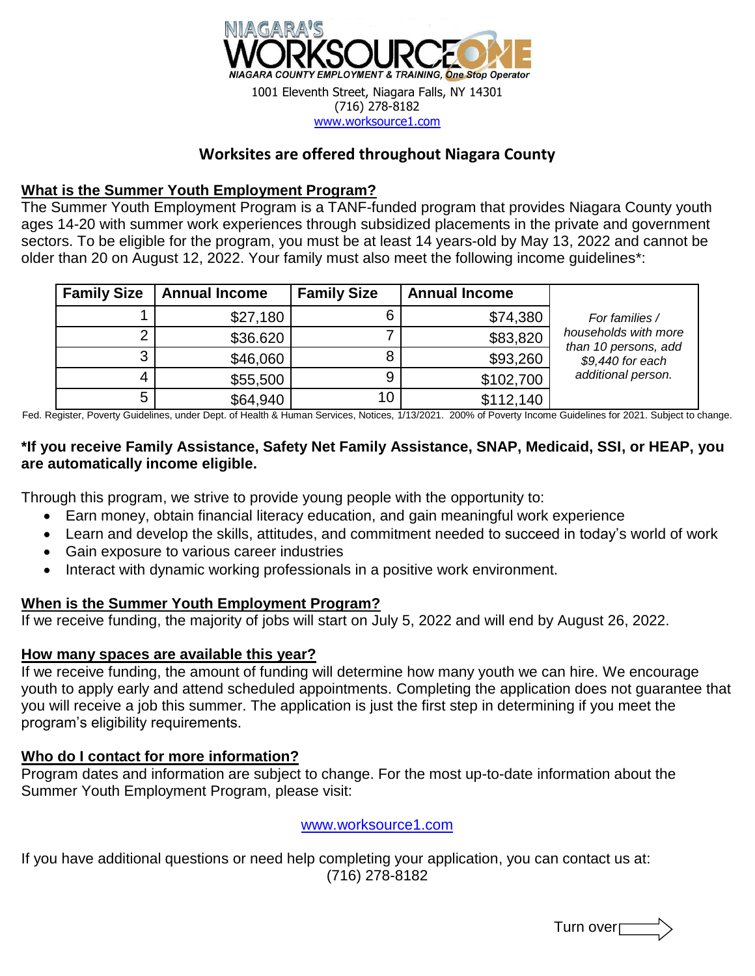

## **Worksites are offered throughout Niagara County**

#### **What is the Summer Youth Employment Program?**

The Summer Youth Employment Program is a TANF-funded program that provides Niagara County youth ages 14-20 with summer work experiences through subsidized placements in the private and government sectors. To be eligible for the program, you must be at least 14 years-old by May 13, 2022 and cannot be older than 20 on August 12, 2022. Your family must also meet the following income guidelines\*:

| <b>Family Size</b> | <b>Annual Income</b> | <b>Family Size</b> | <b>Annual Income</b> |                                              |
|--------------------|----------------------|--------------------|----------------------|----------------------------------------------|
|                    | \$27,180             |                    | \$74,380             | For families /                               |
| ◠                  | \$36.620             |                    | \$83,820             | households with more<br>than 10 persons, add |
| ◠<br>د             | \$46,060             |                    | \$93,260             | \$9,440 for each                             |
| 4                  | \$55,500             |                    | \$102,700            | additional person.                           |
| 5                  | \$64,940             | 10                 | \$112,140            |                                              |

Fed. Register, Poverty Guidelines, under Dept. of Health & Human Services, Notices, 1/13/2021. 200% of Poverty Income Guidelines for 2021. Subject to change.

## **\*If you receive Family Assistance, Safety Net Family Assistance, SNAP, Medicaid, SSI, or HEAP, you are automatically income eligible.**

Through this program, we strive to provide young people with the opportunity to:

- Earn money, obtain financial literacy education, and gain meaningful work experience
- Learn and develop the skills, attitudes, and commitment needed to succeed in today's world of work
- Gain exposure to various career industries
- Interact with dynamic working professionals in a positive work environment.

#### **When is the Summer Youth Employment Program?**

If we receive funding, the majority of jobs will start on July 5, 2022 and will end by August 26, 2022.

#### **How many spaces are available this year?**

If we receive funding, the amount of funding will determine how many youth we can hire. We encourage youth to apply early and attend scheduled appointments. Completing the application does not guarantee that you will receive a job this summer. The application is just the first step in determining if you meet the program's eligibility requirements.

## **Who do I contact for more information?**

Program dates and information are subject to change. For the most up-to-date information about the Summer Youth Employment Program, please visit:

#### [www.worksource1.com](http://www.worksource1.com/)

If you have additional questions or need help completing your application, you can contact us at: (716) 278-8182

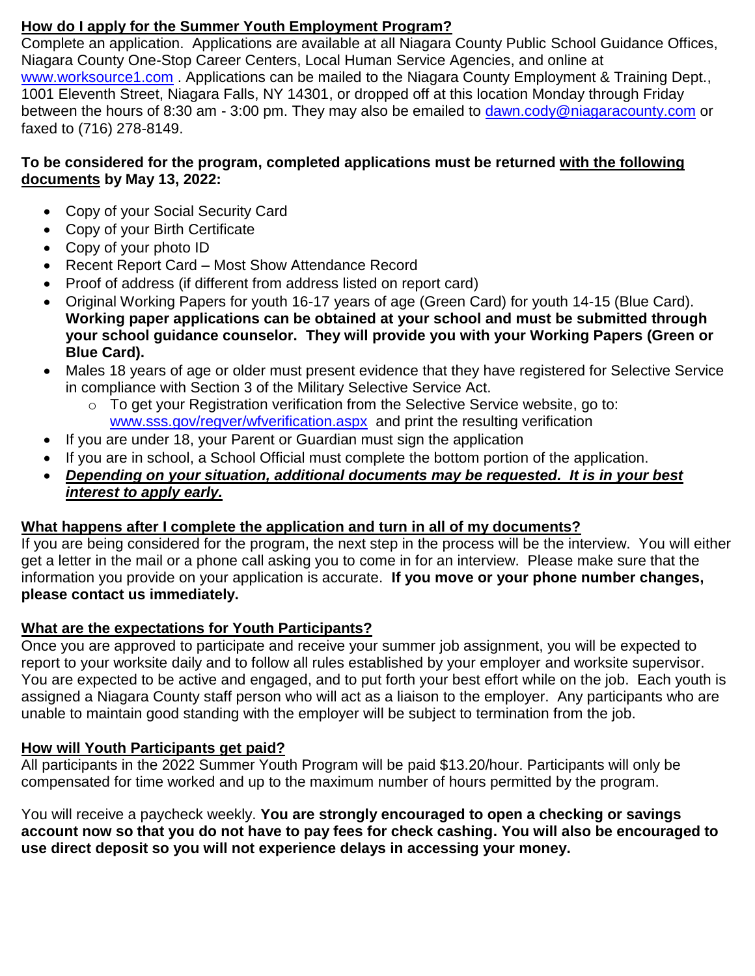## **How do I apply for the Summer Youth Employment Program?**

Complete an application. Applications are available at all Niagara County Public School Guidance Offices, Niagara County One-Stop Career Centers, Local Human Service Agencies, and online at [www.worksource1.com](http://www.worksource1.com/). Applications can be mailed to the Niagara County Employment & Training Dept., 1001 Eleventh Street, Niagara Falls, NY 14301, or dropped off at this location Monday through Friday between the hours of 8:30 am - 3:00 pm. They may also be emailed to [dawn.cody@niagaracounty.com](mailto:dawn.cody@niagaracounty.com) or faxed to (716) 278-8149.

## **To be considered for the program, completed applications must be returned with the following documents by May 13, 2022:**

- Copy of your Social Security Card
- Copy of your Birth Certificate
- Copy of your photo ID
- Recent Report Card Most Show Attendance Record
- Proof of address (if different from address listed on report card)
- Original Working Papers for youth 16-17 years of age (Green Card) for youth 14-15 (Blue Card). **Working paper applications can be obtained at your school and must be submitted through your school guidance counselor. They will provide you with your Working Papers (Green or Blue Card).**
- Males 18 years of age or older must present evidence that they have registered for Selective Service in compliance with Section 3 of the Military Selective Service Act.
	- $\circ$  To get your Registration verification from the Selective Service website, go to: [www.sss.gov/regver/wfverification.aspx](http://www.sss.gov/regver/wfverification.aspx) and print the resulting verification
- If you are under 18, your Parent or Guardian must sign the application
- If you are in school, a School Official must complete the bottom portion of the application.
- *Depending on your situation, additional documents may be requested. It is in your best interest to apply early.*

## **What happens after I complete the application and turn in all of my documents?**

If you are being considered for the program, the next step in the process will be the interview. You will either get a letter in the mail or a phone call asking you to come in for an interview. Please make sure that the information you provide on your application is accurate. **If you move or your phone number changes, please contact us immediately.** 

## **What are the expectations for Youth Participants?**

Once you are approved to participate and receive your summer job assignment, you will be expected to report to your worksite daily and to follow all rules established by your employer and worksite supervisor. You are expected to be active and engaged, and to put forth your best effort while on the job. Each youth is assigned a Niagara County staff person who will act as a liaison to the employer. Any participants who are unable to maintain good standing with the employer will be subject to termination from the job.

## **How will Youth Participants get paid?**

All participants in the 2022 Summer Youth Program will be paid \$13.20/hour. Participants will only be compensated for time worked and up to the maximum number of hours permitted by the program.

You will receive a paycheck weekly. **You are strongly encouraged to open a checking or savings account now so that you do not have to pay fees for check cashing. You will also be encouraged to use direct deposit so you will not experience delays in accessing your money.**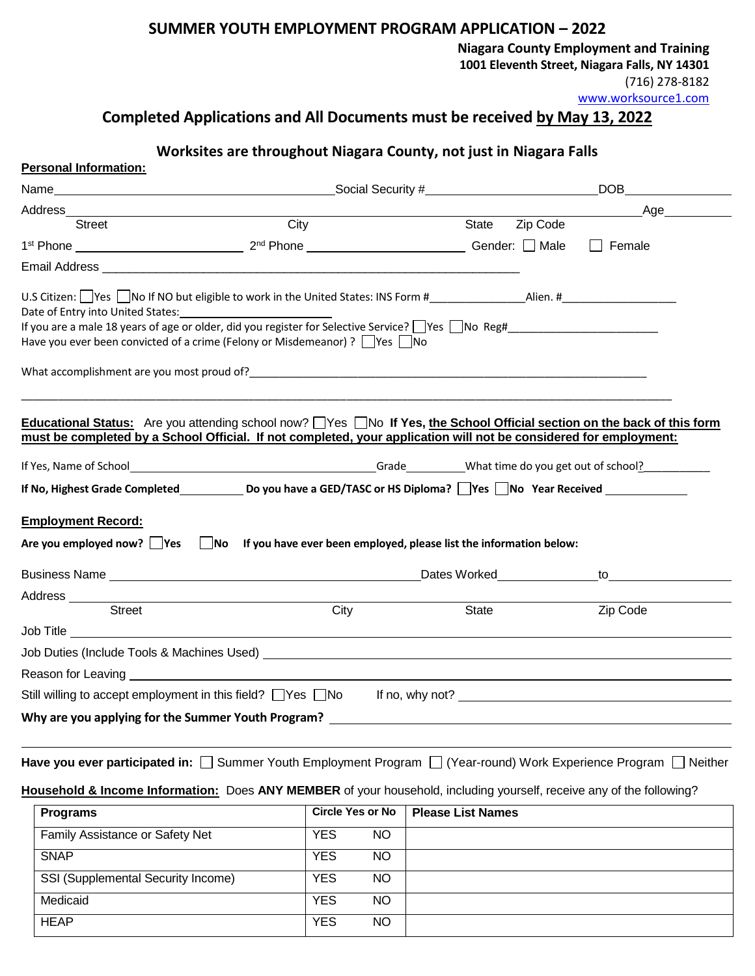## **SUMMER YOUTH EMPLOYMENT PROGRAM APPLICATION – 2022**

**Niagara County Employment and Training** 

**1001 Eleventh Street, Niagara Falls, NY 14301**

(716) 278-8182

[www.worksource1.com](http://www.worksource1.com/)

## **Completed Applications and All Documents must be received by May 13, 2022**

## **Worksites are throughout Niagara County, not just in Niagara Falls**

| Personal Information:                                                                                                                                                                                                                        |      |                         |           |                          |                |                                                                                                                                                                                                                                |
|----------------------------------------------------------------------------------------------------------------------------------------------------------------------------------------------------------------------------------------------|------|-------------------------|-----------|--------------------------|----------------|--------------------------------------------------------------------------------------------------------------------------------------------------------------------------------------------------------------------------------|
|                                                                                                                                                                                                                                              |      |                         |           |                          |                | <b>DOB</b>                                                                                                                                                                                                                     |
|                                                                                                                                                                                                                                              |      |                         |           |                          |                | _Age_________                                                                                                                                                                                                                  |
| <b>Street</b>                                                                                                                                                                                                                                | City |                         |           |                          | State Zip Code |                                                                                                                                                                                                                                |
|                                                                                                                                                                                                                                              |      |                         |           |                          |                | $\Box$ Female                                                                                                                                                                                                                  |
|                                                                                                                                                                                                                                              |      |                         |           |                          |                |                                                                                                                                                                                                                                |
| If you are a male 18 years of age or older, did you register for Selective Service? Nes No Reg#_______________________                                                                                                                       |      |                         |           |                          |                |                                                                                                                                                                                                                                |
| Have you ever been convicted of a crime (Felony or Misdemeanor) ? □ Yes □ No                                                                                                                                                                 |      |                         |           |                          |                |                                                                                                                                                                                                                                |
|                                                                                                                                                                                                                                              |      |                         |           |                          |                |                                                                                                                                                                                                                                |
| What accomplishment are you most proud of? Notifiantly as a series of the control of the control of the control of the control of the control of the control of the control of the control of the control of the control of th               |      |                         |           |                          |                |                                                                                                                                                                                                                                |
|                                                                                                                                                                                                                                              |      |                         |           |                          |                |                                                                                                                                                                                                                                |
| Educational Status: Are you attending school now? TYes TNo If Yes, the School Official section on the back of this form<br>must be completed by a School Official. If not completed, your application will not be considered for employment: |      |                         |           |                          |                |                                                                                                                                                                                                                                |
|                                                                                                                                                                                                                                              |      |                         |           |                          |                |                                                                                                                                                                                                                                |
|                                                                                                                                                                                                                                              |      |                         |           |                          |                |                                                                                                                                                                                                                                |
| If No, Highest Grade Completed ___________ Do you have a GED/TASC or HS Diploma? □Yes □No Year Received ______                                                                                                                               |      |                         |           |                          |                |                                                                                                                                                                                                                                |
|                                                                                                                                                                                                                                              |      |                         |           |                          |                |                                                                                                                                                                                                                                |
| <b>Employment Record:</b>                                                                                                                                                                                                                    |      |                         |           |                          |                |                                                                                                                                                                                                                                |
| Are you employed now? $\Box$ Yes $\Box$ No If you have ever been employed, please list the information below:                                                                                                                                |      |                         |           |                          |                |                                                                                                                                                                                                                                |
|                                                                                                                                                                                                                                              |      |                         |           |                          |                | Dates Worked to to the contract of the contract of the contract of the contract of the contract of the contract of the contract of the contract of the contract of the contract of the contract of the contract of the contrac |
|                                                                                                                                                                                                                                              |      |                         |           |                          |                |                                                                                                                                                                                                                                |
| Street                                                                                                                                                                                                                                       |      | City                    |           | State                    |                | Zip Code                                                                                                                                                                                                                       |
| Job Title <b>Executive Contract Contract Contract Contract Contract Contract Contract Contract Contract Contract Contract Contract Contract Contract Contract Contract Contract Contract Contract Contract Contract Contract Con</b>         |      |                         |           |                          |                |                                                                                                                                                                                                                                |
|                                                                                                                                                                                                                                              |      |                         |           |                          |                |                                                                                                                                                                                                                                |
| Reason for Leaving <u>example and the set of the set of the set of the set of the set of the set of the set of the set of the set of the set of the set of the set of the set of the set of the set of the set of the set of the</u>         |      |                         |           |                          |                |                                                                                                                                                                                                                                |
| Still willing to accept employment in this field? U Yes U No If no, why not? U Let not all the match of the match of the state of the state of the state of the state of the state of the state of the state of the state of t               |      |                         |           |                          |                |                                                                                                                                                                                                                                |
| Why are you applying for the Summer Youth Program?                                                                                                                                                                                           |      |                         |           |                          |                |                                                                                                                                                                                                                                |
|                                                                                                                                                                                                                                              |      |                         |           |                          |                |                                                                                                                                                                                                                                |
| Have you ever participated in: □ Summer Youth Employment Program □ (Year-round) Work Experience Program □ Neither                                                                                                                            |      |                         |           |                          |                |                                                                                                                                                                                                                                |
|                                                                                                                                                                                                                                              |      |                         |           |                          |                |                                                                                                                                                                                                                                |
| Household & Income Information: Does ANY MEMBER of your household, including yourself, receive any of the following?                                                                                                                         |      |                         |           |                          |                |                                                                                                                                                                                                                                |
| <b>Programs</b>                                                                                                                                                                                                                              |      | <b>Circle Yes or No</b> |           | <b>Please List Names</b> |                |                                                                                                                                                                                                                                |
| Family Assistance or Safety Net                                                                                                                                                                                                              |      | <b>YES</b>              | <b>NO</b> |                          |                |                                                                                                                                                                                                                                |
| <b>SNAP</b>                                                                                                                                                                                                                                  |      | <b>YES</b>              | <b>NO</b> |                          |                |                                                                                                                                                                                                                                |
| SSI (Supplemental Security Income)                                                                                                                                                                                                           |      | <b>YES</b>              | <b>NO</b> |                          |                |                                                                                                                                                                                                                                |

Medicaid **YES** NO HEAP YES NO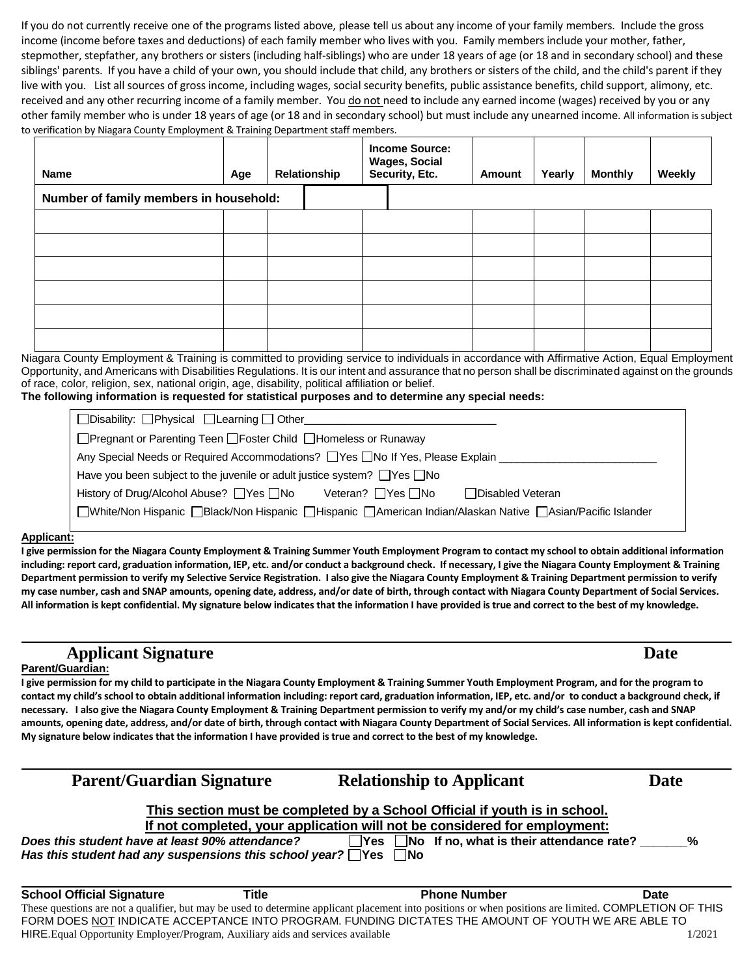If you do not currently receive one of the programs listed above, please tell us about any income of your family members. Include the gross income (income before taxes and deductions) of each family member who lives with you. Family members include your mother, father, stepmother, stepfather, any brothers or sisters (including half-siblings) who are under 18 years of age (or 18 and in secondary school) and these siblings' parents. If you have a child of your own, you should include that child, any brothers or sisters of the child, and the child's parent if they live with you. List all sources of gross income, including wages, social security benefits, public assistance benefits, child support, alimony, etc. received and any other recurring income of a family member. You do not need to include any earned income (wages) received by you or any other family member who is under 18 years of age (or 18 and in secondary school) but must include any unearned income. All information is subject to verification by Niagara County Employment & Training Department staff members.

| <b>Name</b>                            | Age | Relationship | <b>Income Source:</b><br><b>Wages, Social</b><br>Security, Etc. | Amount | Yearly | <b>Monthly</b> | Weekly |
|----------------------------------------|-----|--------------|-----------------------------------------------------------------|--------|--------|----------------|--------|
| Number of family members in household: |     |              |                                                                 |        |        |                |        |
|                                        |     |              |                                                                 |        |        |                |        |
|                                        |     |              |                                                                 |        |        |                |        |
|                                        |     |              |                                                                 |        |        |                |        |
|                                        |     |              |                                                                 |        |        |                |        |
|                                        |     |              |                                                                 |        |        |                |        |
|                                        |     |              |                                                                 |        |        |                |        |

Niagara County Employment & Training is committed to providing service to individuals in accordance with Affirmative Action, Equal Employment Opportunity, and Americans with Disabilities Regulations. It is our intent and assurance that no person shall be discriminated against on the grounds of race, color, religion, sex, national origin, age, disability, political affiliation or belief.

**The following information is requested for statistical purposes and to determine any special needs:**

| $\Box$ Disability: $\Box$ Physical $\Box$ Learning $\Box$ Other                                           |  |  |  |  |  |  |
|-----------------------------------------------------------------------------------------------------------|--|--|--|--|--|--|
| □ Pregnant or Parenting Teen □ Foster Child □ Homeless or Runaway                                         |  |  |  |  |  |  |
| Any Special Needs or Required Accommodations? The Tho If Yes, Please Explain                              |  |  |  |  |  |  |
| Have you been subject to the juvenile or adult justice system? $\Box$ Yes $\Box$ No                       |  |  |  |  |  |  |
| History of Drug/Alcohol Abuse? □ Yes □ No<br>Veteran? $\Box$ Yes $\Box$ No<br>□ Disabled Veteran          |  |  |  |  |  |  |
| □White/Non Hispanic □Black/Non Hispanic □Hispanic □American Indian/Alaskan Native □Asian/Pacific Islander |  |  |  |  |  |  |
|                                                                                                           |  |  |  |  |  |  |

#### **Applicant:**

**I give permission for the Niagara County Employment & Training Summer Youth Employment Program to contact my school to obtain additional information including: report card, graduation information, IEP, etc. and/or conduct a background check. If necessary, I give the Niagara County Employment & Training Department permission to verify my Selective Service Registration. I also give the Niagara County Employment & Training Department permission to verify my case number, cash and SNAP amounts, opening date, address, and/or date of birth, through contact with Niagara County Department of Social Services. All information is kept confidential. My signature below indicates that the information I have provided is true and correct to the best of my knowledge.**

## **Applicant Signature Date**

#### **Parent/Guardian:**

**I give permission for my child to participate in the Niagara County Employment & Training Summer Youth Employment Program, and for the program to contact my child's school to obtain additional information including: report card, graduation information, IEP, etc. and/or to conduct a background check, if necessary. I also give the Niagara County Employment & Training Department permission to verify my and/or my child's case number, cash and SNAP amounts, opening date, address, and/or date of birth, through contact with Niagara County Department of Social Services. All information is kept confidential. My signature below indicates that the information I have provided is true and correct to the best of my knowledge.**

| <b>Parent/Guardian Signature</b>                                            |       | <b>Relationship to Applicant</b>                                                                                                                       | <b>Date</b> |  |  |  |
|-----------------------------------------------------------------------------|-------|--------------------------------------------------------------------------------------------------------------------------------------------------------|-------------|--|--|--|
|                                                                             |       | This section must be completed by a School Official if youth is in school.                                                                             |             |  |  |  |
|                                                                             |       | If not completed, your application will not be considered for employment:                                                                              |             |  |  |  |
| Does this student have at least 90% attendance?                             |       | $\Box$ Yes $\Box$ No If no, what is their attendance rate?                                                                                             | $\%$        |  |  |  |
| Has this student had any suspensions this school year? $\Box$ Yes $\Box$ No |       |                                                                                                                                                        |             |  |  |  |
|                                                                             |       |                                                                                                                                                        |             |  |  |  |
| <b>School Official Signature</b>                                            | Title | <b>Phone Number</b>                                                                                                                                    | Date        |  |  |  |
|                                                                             |       | These questions are not a qualifier, but may be used to determine applicant placement into positions or when positions are limited. COMPLETION OF THIS |             |  |  |  |
|                                                                             |       | FORM DOES NOT INDICATE ACCEPTANCE INTO PROGRAM. FUNDING DICTATES THE AMOUNT OF YOUTH WE ARE ABLE TO                                                    |             |  |  |  |